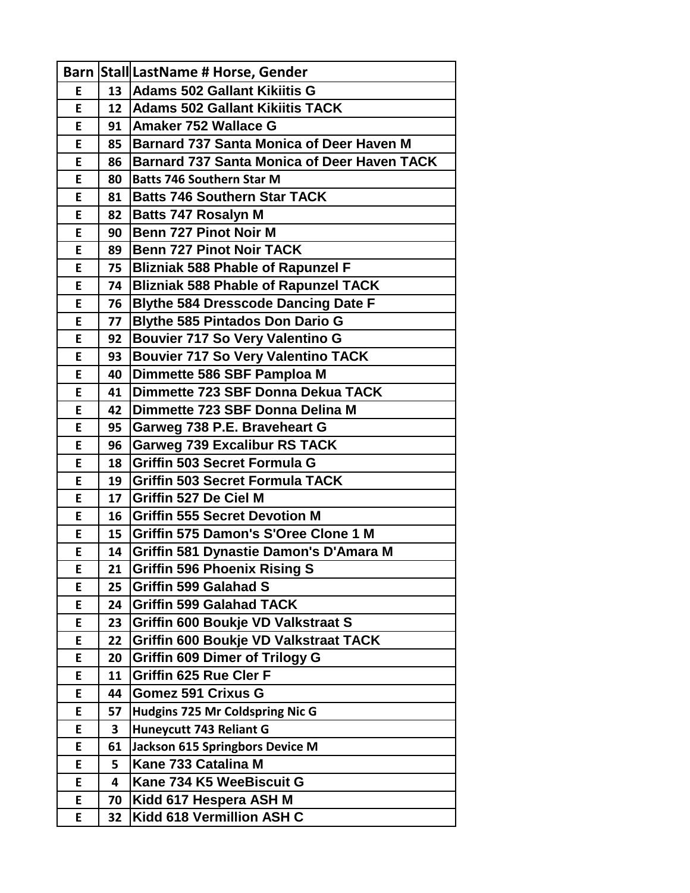|    |                 | Barn Stall LastName # Horse, Gender                |
|----|-----------------|----------------------------------------------------|
| Е  | 13              | Adams 502 Gallant Kikiitis G                       |
| E  | 12              | <b>Adams 502 Gallant Kikiitis TACK</b>             |
| E  | 91              | Amaker 752 Wallace G                               |
| E  | 85              | <b>Barnard 737 Santa Monica of Deer Haven M</b>    |
| E  | 86              | <b>Barnard 737 Santa Monica of Deer Haven TACK</b> |
| E  | 80              | <b>Batts 746 Southern Star M</b>                   |
| E  | 81              | <b>Batts 746 Southern Star TACK</b>                |
| E  | 82              | <b>Batts 747 Rosalyn M</b>                         |
| E  | 90              | <b>Benn 727 Pinot Noir M</b>                       |
| E  | 89              | <b>Benn 727 Pinot Noir TACK</b>                    |
| E  | 75              | <b>Blizniak 588 Phable of Rapunzel F</b>           |
| E  | 74              | <b>Blizniak 588 Phable of Rapunzel TACK</b>        |
| E  | 76              | <b>Blythe 584 Dresscode Dancing Date F</b>         |
| E  | 77              | <b>Blythe 585 Pintados Don Dario G</b>             |
| E  | 92              | <b>Bouvier 717 So Very Valentino G</b>             |
| E  | 93              | <b>Bouvier 717 So Very Valentino TACK</b>          |
| E  | 40              | Dimmette 586 SBF Pamploa M                         |
| E. | 41              | Dimmette 723 SBF Donna Dekua TACK                  |
| E. | 42              | Dimmette 723 SBF Donna Delina M                    |
| E  | 95              | Garweg 738 P.E. Braveheart G                       |
| E. | 96              | <b>Garweg 739 Excalibur RS TACK</b>                |
| E  | 18              | <b>Griffin 503 Secret Formula G</b>                |
| E  | 19              | <b>Griffin 503 Secret Formula TACK</b>             |
| E  | 17              | <b>Griffin 527 De Ciel M</b>                       |
| E. | 16              | <b>Griffin 555 Secret Devotion M</b>               |
| E  | 15 <sub>1</sub> | Griffin 575 Damon's S'Oree Clone 1 M               |
| E  | 14              | <b>Griffin 581 Dynastie Damon's D'Amara M</b>      |
| E  | 21              | <b>Griffin 596 Phoenix Rising S</b>                |
| E  | 25              | <b>Griffin 599 Galahad S</b>                       |
| E. | 24              | <b>Griffin 599 Galahad TACK</b>                    |
| E  | 23              | <b>Griffin 600 Boukje VD Valkstraat S</b>          |
| E  | 22              | <b>Griffin 600 Boukje VD Valkstraat TACK</b>       |
| E  | 20              | <b>Griffin 609 Dimer of Trilogy G</b>              |
| E  | 11              | <b>Griffin 625 Rue Cler F</b>                      |
| E  | 44              | <b>Gomez 591 Crixus G</b>                          |
| E  | 57              | Hudgins 725 Mr Coldspring Nic G                    |
| E  | 3               | Huneycutt 743 Reliant G                            |
| E  | 61              | Jackson 615 Springbors Device M                    |
| E  | 5               | Kane 733 Catalina M                                |
| E  | 4               | Kane 734 K5 WeeBiscuit G                           |
| E  | 70              | Kidd 617 Hespera ASH M                             |
| E  | 32              | Kidd 618 Vermillion ASH C                          |